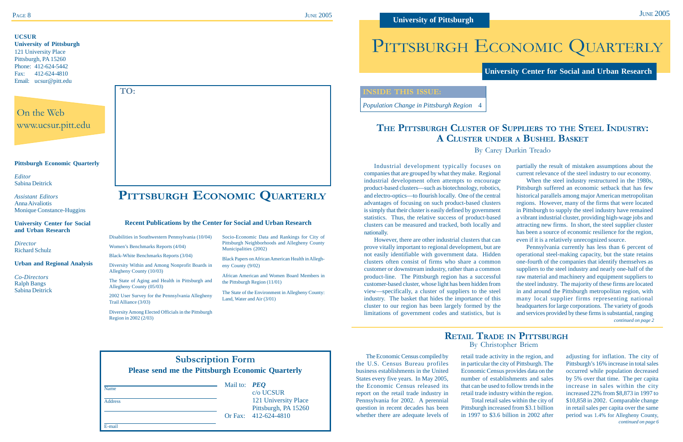# **THE PITTSBURGH CLUSTER OF SUPPLIERS TO THE STEEL INDUSTRY: A CLUSTER UNDER A BUSHEL BASKET**

By Carey Durkin Treado

**University Center for Social and Urban Research**

#### **Pittsburgh Economic Quarterly**

*Editor* Sabina Deitrick

*Assistant Editors* Anna Aivaliotis Monique Constance-Huggins

#### **University Center for Social and Urban Research**

*Director* Richard Schulz

#### **Urban and Regional Analysis**

*Co-Directors* Ralph Bangs Sabina Deitrick **JUNE 2005** 

Disabilities in Southwestern Pennsylvania (10/04)

Women's Benchmarks Reports (4/04) Black-White Benchmarks Reports (3/04)

Diversity Within and Among Nonprofit Boards in

Allegheny County (10/03)

The State of Aging and Health in Pittsburgh and

Allegheny County (05/03)

2002 User Survey for the Pennsylvania Allegheny

Trail Alliance (3/03)

Diversity Among Elected Officials in the Pittsburgh

Region in 2002 (2/03)

Socio-Economic Data and Rankings for City of Pittsburgh Neighborhoods and Allegheny County

Municipalities (2002)

Black Papers on African American Health in Allegh-

eny County (9/02)

African American and Women Board Members in

the Pittsburgh Region (11/01)

The State of the Environment in Allegheny County:

Land, Water and Air (3/01)

**PITTSBURGH ECONOMIC QUARTERLY**

**Recent Publications by the Center for Social and Urban Research**

On the Web www.ucsur.pitt.edu

#### **UCSUR**

|                | <b>Subscription Form</b><br><b>Please send me the Pittsburgh Economic Quarterly</b> |                                                         |                                              |  |  |  |  |  |
|----------------|-------------------------------------------------------------------------------------|---------------------------------------------------------|----------------------------------------------|--|--|--|--|--|
| Name           |                                                                                     | Mail to: $\boldsymbol{P} \boldsymbol{E} \boldsymbol{Q}$ | c/o UCSUR                                    |  |  |  |  |  |
| <b>Address</b> |                                                                                     |                                                         | 121 University Place<br>Pittsburgh, PA 15260 |  |  |  |  |  |
| E-mail         |                                                                                     |                                                         | Or Fax: 412-624-4810                         |  |  |  |  |  |

**University of Pittsburgh** 121 University Place Pittsburgh, PA 15260 Phone: 412-624-5442 Fax: 412-624-4810 Email: ucsur@pitt.edu

# PITTSBURGH ECONOMIC QUARTERLY

**TO:**

## **RETAIL TRADE IN PITTSBURGH** By Christopher Briem

*continued on page 2*

#### **INSIDE THIS ISSUE:**

*Population Change in Pittsburgh Region* 4

Industrial development typically focuses on companies that are grouped by what they make. Regional industrial development often attempts to encourage product-based clusters—such as biotechnology, robotics, and electro-optics—to flourish locally. One of the central advantages of focusing on such product-based clusters is simply that their cluster is easily defined by government statistics. Thus, the relative success of product-based clusters can be measured and tracked, both locally and nationally.

However, there are other industrial clusters that can prove vitally important to regional development, but are not easily identifiable with government data. Hidden clusters often consist of firms who share a common customer or downstream industry, rather than a common product-line. The Pittsburgh region has a successful customer-based cluster, whose light has been hidden from view—specifically, a cluster of suppliers to the steel industry. The basket that hides the importance of this cluster to our region has been largely formed by the limitations of government codes and statistics, but is

partially the result of mistaken assumptions about the current relevance of the steel industry to our economy.

When the steel industry restructured in the 1980s, Pittsburgh suffered an economic setback that has few historical parallels among major American metropolitan regions. However, many of the firms that were located in Pittsburgh to supply the steel industry have remained a vibrant industrial cluster, providing high-wage jobs and attracting new firms. In short, the steel supplier cluster has been a source of economic resilience for the region, even if it is a relatively unrecognized source.

> *continued on page 6* adjusting for inflation. The city of Pittsburgh's 16% increase in total sales occurred while population decreased by 5% over that time. The per capita increase in sales within the city increased 22% from \$8,873 in 1997 to \$10,858 in 2002. Comparable change in retail sales per capita over the same period was 1.4% for Allegheny County,

Pennsylvania currently has less than 6 percent of operational steel-making capacity, but the state retains one-fourth of the companies that identify themselves as suppliers to the steel industry and nearly one-half of the raw material and machinery and equipment suppliers to the steel industry. The majority of these firms are located in and around the Pittsburgh metropolitan region, with many local supplier firms representing national headquarters for large corporations. The variety of goods and services provided by these firms is substantial, ranging

The Economic Census compiled by the U.S. Census Bureau profiles business establishments in the United States every five years. In May 2005, the Economic Census released its report on the retail trade industry in Pennsylvania for 2002. A perennial question in recent decades has been whether there are adequate levels of retail trade activity in the region, and in particular the city of Pittsburgh. The Economic Census provides data on the number of establishments and sales that can be used to follow trends in the retail trade industry within the region. Total retail sales within the city of Pittsburgh increased from \$3.1 billion in 1997 to \$3.6 billion in 2002 after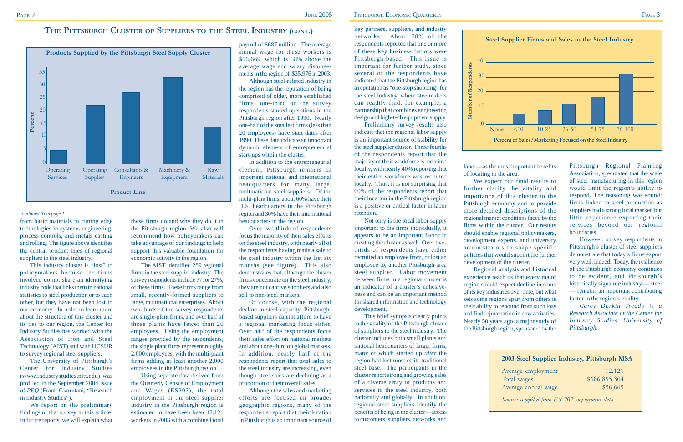from basic materials to cutting edge technologies in systems engineering, process controls, and metals casting and rolling. The figure above identifies the central product lines of regional suppliers to the steel industry.

This industry cluster is "lost" to policymakers because the firms involved do not share an identifying industry code that links them in national statistics to steel production or to each other, but they have not been lost to our economy. In order to learn more about the structure of this cluster and its ties to our region, the Center for Industry Studies has worked with the Association of Iron and Steel Technology (AIST) and with UCSUR to survey regional steel suppliers.

We report on the preliminary findings of that survey in this article. In future reports, we will explain what

The University of Pittsburgh's Center for Industry Studies (www.industrystudies.pitt.edu) was profiled in the September 2004 issue of *PEQ* (Frank Giarratani, "Research in Industry Studies").

these firms do and why they do it in the Pittsburgh region. We also will recommend how policymakers can take advantage of our findings to help support this valuable foundation for economic activity in the region.

The AIST identified 289 regional firms in the steel supplier industry. The survey respondents include 77, or 27%, of these firms. These firms range from small, recently-formed suppliers to large, multinational enterprises. About two-thirds of the survey respondents are single-plant firms, and over half of those plants have fewer than 20 employees. Using the employment ranges provided by the respondents, the single plant firms represent roughly 2,000 employees, with the multi-plant firms adding at least another 2,000 employees in the Pittsburgh region.

Using separate data derived from the Quarterly Census of Employment and Wages (ES202), the total employment in the steel supplier industry in the Pittsburgh region is estimated to have been been 12,121 workers in 2003 with a combined total

payroll of \$687 million. The average annual wage for these workers is \$56,669, which is 58% above the average wage and salary disbursements in the region of \$35,976 in 2003.

Although steel-related industry in the region has the reputation of being comprised of older, more established firms, one-third of the survey respondents started operations in the Pittsburgh region after 1990. Nearly one-half of the smallest firms (less than 20 employees) have start dates after 1990. These data indicate an important dynamic element of entrepreneurial start-ups within the cluster.

In addition to the entrepreneurial element, Pittsburgh remains an important national and international headquarters for many large, multinational steel suppliers. Of the multi-plant firms, about 60% have their U.S. headquarters in the Pittsburgh region and 30% have their international headquarters in the region.

Over two-thirds of respondents focus the majority of their sales efforts on the steel industry, with nearly all of the respondents having made a sale to the steel industry within the last six months (see figure). This also demonstrates that, although the cluster firms concentrate on the steel industry, they are not captive suppliers and also sell to non-steel markets.

Of course, with the regional decline in steel capacity, Pittsburghbased suppliers cannot afford to have a regional marketing focus either. Over half of the respondents focus their sales effort on national markets and about one-third on global markets. In addition, nearly half of the respondents report that total sales to the steel industry are increasing, even though steel sales are declining as a proportion of their overall sales.

Although the sales and marketing efforts are focused on broader geographic regions, many of the respondents report that their location in Pittsburgh is an important source of

### **THE PITTSBURGH CLUSTER OF SUPPLIERS TO THE STEEL INDUSTRY (CONT.)**

#### *continued from page 1*



key partners, suppliers, and industry networks. About 38% of the respondents reported that one or more of these key business factors were Pittsburgh-based. This issue is important for further study, since several of the respondents have indicated that the Pittsburgh region has a reputation as "one-stop shopping" for the steel industry, where steelmakers can readily find, for example, a partnership that combines engineering design and high-tech equipment supply.

Preliminary survey results also indicate that the regional labor supply is an important source of stability for the steel supplier cluster. Three-fourths of the respondents report that the majority of their workforce is recruited locally, with nearly 40% reporting that their entire workforce was recruited locally. Thus, it is not surprising that 60% of the respondents report that their location in the Pittsburgh region is a positive or critical factor in labor retention.

Not only is the local labor supply important to the firms individually, it appears to be an important factor in creating the cluster as well. Over twothirds of respondents have either recruited an employee from, or lost an employee to, another Pittsburgh-area steel supplier. Labor movement between firms in a regional cluster is an indicator of a cluster's cohesiveness and can be an important method for shared information and technology development.

This brief synopsis clearly points to the vitality of the Pittsburgh cluster of suppliers to the steel industry. The cluster includes both small plants and national headquarters of larger firms, many of which started up *after* the region had lost most of its traditional steel base. The participants in the cluster report strong and growing sales of a diverse array of products and services to the steel industry, both nationally and globally. In addition, regional steel suppliers identify the benefits of being in the cluster—access to customers, suppliers, networks, and

labor—as the most important benefits of locating in the area.

We expect our final results to further clarify the vitality and importance of this cluster to the Pittsburgh economy and to provide more detailed descriptions of the regional market conditions faced by the firms within the cluster. Our results should enable regional policymakers, development experts, and university administrators to shape specific policies that would support the further

development of the cluster.

Regional analysis and historical experience teach us that every major region should expect decline in some of its key industries over time, but what sets some regions apart from others is their ability to rebound from such loss and find rejuvenation in new activities. Nearly 50 years ago, a major study of the Pittsburgh region, sponsored by the

Pittsburgh Regional Planning Association, speculated that the scale of steel manufacturing in this region would limit the region's ability to respond. The reasoning was sound: firms linked to steel production as suppliers had a strong local market, but little experience exporting their services beyond our regional boundaries.

However, survey respondents in Pittsburgh's cluster of steel suppliers demonstrate that today's firms export very well, indeed. Today, the resilience of the Pittsburgh economy continues to be evident, and Pittsburgh's historically signature industry — steel — remains an important contributing factor to the region's vitality.

*Carey Durkin Treado is a Research Associate at the Center for Industry Studies, University of Pittsburgh.*



#### **2003 Steel Supplier Industry, Pittsburgh MSA**

Average employment 12,121 Total wages \$686,895,304 Average annual wage  $$56,669$ 

*Source: compiled from ES 202 employment data*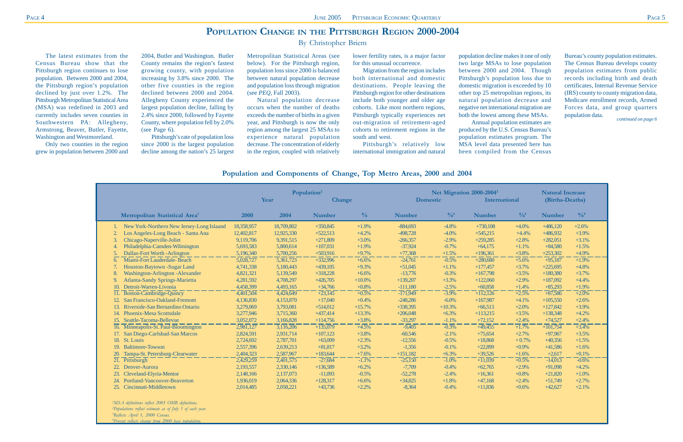# **POPULATION CHANGE IN THE PITTSBURGH REGION 2000-2004**

By Christopher Briem

The latest estimates from the Census Bureau show that the Pittsburgh region continues to lose population. Between 2000 and 2004, the Pittsburgh region's population declined by just over 1.2%. The Pittsburgh Metropolitan Statistical Area (MSA) was redefined in 2003 and currently includes seven counties in Southwestern PA: Allegheny, Armstrong, Beaver, Butler, Fayette, Washington and Westmoreland.

Only two counties in the region grew in population between 2000 and

2004, Butler and Washington. Butler County remains the region's fastest growing county, with population increasing by 3.8% since 2000. The other five counties in the region declined between 2000 and 2004. Allegheny County experienced the largest population decline, falling by 2.4% since 2000, followed by Fayette County, where population fell by 2.0% (see Page 6).

Pittsburgh's rate of population loss since 2000 is the largest population decline among the nation's 25 largest

Metropolitan Statistical Areas (see below). For the Pittsburgh region, population loss since 2000 is balanced between natural population decrease and population loss through migration (see *PEQ*, Fall 2003).

Natural population decrease occurs when the number of deaths exceeds the number of births in a given year, and Pittsburgh is now the only region among the largest 25 MSAs to experience natural population decrease. The concentration of elderly in the region, coupled with relatively

lower fertility rates, is a major factor for this unusual occurrence.

Migration from the region includes both international and domestic destinations. People leaving the Pittsburgh region for other destinations include both younger and older age cohorts. Like most northern regions, Pittsburgh typically experiences net out-migration of retirement-aged cohorts to retirement regions in the south and west.

Pittsburgh's relatively low

international immigration and natural

population decline makes it one of only Annual population estimates are

two large MSAs to lose population between 2000 and 2004. Though Pittsburgh's population loss due to domestic migration is exceeded by 10 other top 25 metropolitan regions, its natural population decrease and negative net international migration are both the lowest among these MSAs. produced by the U.S. Census Bureau's population estimates program. The MSA level data presented here has been compiled from the Census

### **Population and Components of Change, Top Metro Areas, 2000 and 2004**

|                |                                            | Population <sup>2</sup><br>Year<br><b>Change</b> |                        |               | Net Migration 2000-2004 <sup>3</sup><br><b>Domestic</b><br><b>International</b> |               |                 |               | <b>Natural Increase</b><br>(Births-Deaths) |               |                 |
|----------------|--------------------------------------------|--------------------------------------------------|------------------------|---------------|---------------------------------------------------------------------------------|---------------|-----------------|---------------|--------------------------------------------|---------------|-----------------|
|                |                                            |                                                  |                        |               |                                                                                 |               |                 |               |                                            |               |                 |
|                | Metropolitan Statistical Area <sup>1</sup> | 2000                                             | 2004                   | <b>Number</b> | $\frac{0}{0}$                                                                   | <b>Number</b> | $^{0}/_{0}^{4}$ | <b>Number</b> | $^{0}/_{0}^{4}$                            | <b>Number</b> | $^{0}/_{0}^{4}$ |
|                | New York-Northern New Jersey-Long Islaand  | 18,358,957                                       | 18,709,802             | $+350,845$    | $+1.9%$                                                                         | $-884,693$    | $-4.8\%$        | $+730,108$    | $+4.0\%$                                   | $+486,120$    | $+2.6%$         |
|                | Los Angeles-Long Beach - Santa Ana         | 12,402,817                                       | 12,925,330             | $+522,513$    | $+4.2%$                                                                         | -498,728      | $-4.0%$         | $+545,215$    | $+4.4%$                                    | $+486,932$    | $+3.9%$         |
|                | Chicago-Naperville-Joliet                  | 9,119,706                                        | 9,391,515              | $+271,809$    | $+3.0%$                                                                         | $-266,357$    | $-2.9\%$        | $+259,285$    | $+2.8%$                                    | $+282,051$    | $+3.1%$         |
|                | Philadelphia-Camden-Wilmington             | 5,693,583                                        | 5,800,614              | $+107,031$    | $+1.9%$                                                                         | $-37,924$     | $-0.7%$         | $+64,175$     | $+1.1%$                                    | $+84.580$     | $+1.5%$         |
| $\overline{5}$ | Dallas-Fort Worth - Arlington              | 5,196,340                                        | 5,700,256              | $+503,916$    | $+9.7%$                                                                         | $+77,368$     | $+1.5%$         | $+196,361$    | $+3.8%$                                    | $+253,302$    | $+4.9%$         |
| 6.             | Miami-Fort Lauderdale-Beach                | 5,028,727                                        | $\overline{5,361,723}$ | $+332,996$    | $+6.6%$                                                                         | $-24,761$     | $-0.5\%$        | $+280,680$    | $+5.6%$                                    | $+95,187$     | $+1.9%$         |
|                | Houston-Baytown -Sugar Land                | 4,741,338                                        | 5,180,443              | $+439,105$    | $+9.3%$                                                                         | $+51,045$     | $+1.1%$         | $+177,457$    | $+3.7%$                                    | $+225,695$    | $+4.8%$         |
| 8              | <b>Washington-Arlington-Alexander</b>      | 4,821,321                                        | 5,139,549              | $+318,228$    | $+6.6%$                                                                         | $-13,776$     | $-0.3%$         | $+167,798$    | $+3.5%$                                    | $+180,380$    | $+3.7%$         |
| 9              | <b>Atlanta-Sandy Springs-Marietta</b>      | 4,281,592                                        | 4,708,297              | $+426,705$    | $+10.0\%$                                                                       | $+139,207$    | $+3.3%$         | $+122,060$    | $+2.9%$                                    | $+187,092$    | $+4.4%$         |
|                | Detroit-Warren-Livonia<br>10.              | 4,458,399                                        | 4,493,165              | $+34,766$     | $+0.8%$                                                                         | $-111,180$    | $-2.5%$         | $+60,858$     | $+1.4%$                                    | $+85,293$     | $+1.9%$         |
|                | 11. Boston-Cambridge-Quincy                | 4,401,504                                        | $\overline{4,424,649}$ | $+23,145$     | $+0.5%$                                                                         | $-171,949$    | $-3.9\%$        | $+112,126$    | $+2.5%$                                    | $+87,586$     | $+2.0%$         |
|                | San Francisco-Oakland-Fremont              | 4,136,830                                        | 4,153,870              | $+17,040$     | $+0.4%$                                                                         | $-248,286$    | $-6.0\%$        | $+167,987$    | $+4.1%$                                    | $+105,550$    | $+2.6%$         |
|                | Riverside-San Bernardino Ontario           | 3,279,069                                        | 3,793,081              | $+514,012$    | $+15.7%$                                                                        | $+338,395$    | $+10.3%$        | $+66,513$     | $+2.0%$                                    | $+127,842$    | $+3.9%$         |
|                | Phoenix-Mesa Scottsdale                    | 3,277,946                                        | 3,715,360              | $+437,414$    | $+13.3%$                                                                        | $+206,048$    | $+6.3\%$        | $+113,215$    | $+3.5%$                                    | $+138,348$    | $+4.2%$         |
|                | Seattle-Tacoma-Bellevue<br>15.             | 3,052,072                                        | 3,166,828              | $+114,756$    | $+3.8%$                                                                         | $-33,297$     | $-1.1%$         | $+72,152$     | $+2.4%$                                    | $+74,527$     | $+2.4%$         |
|                | 16. Minneapolis-St. Paul-Bloomington       | 2,981,127                                        | $\sqrt{3,116,206}$     | $+135,079$    | $+4.5%$                                                                         | $-9,405$      | $-0.3\%$        | $+49,455$     | $\frac{1}{1.7\%}$                          | $+101,754$    | $+3.4%$         |
|                | 17. San Diego-Carlsbad-San Marcos          | 2,824,591                                        | 2,931,714              | $+107,123$    | $+3.8%$                                                                         | $-60,546$     | $-2.1%$         | $+75.654$     | $+2.7%$                                    | $+97.967$     | $+3.5%$         |
|                | St. Louis<br>18.                           | 2,724,692                                        | 2,787,701              | $+63,009$     | $+2.3%$                                                                         | $-12,556$     | $-0.5%$         | $+18,868$     | $+0.7%$                                    | $+40,356$     | $+1.5%$         |
|                | <b>Baltimore-Towson</b><br>19.             | 2,557,396                                        | 2,639,213              | $+81,817$     | $+3.2%$                                                                         | $-1,356$      | $-0.1%$         | $+22,899$     | $+0.9%$                                    | $+41,586$     | $+1.6%$         |
| 20.            | Tampa-St. Petersburg-Clearwater            | 2,404,323                                        | 2,587,967              | $+183,644$    | $+7.6%$                                                                         | $+151,182$    | $+6.3%$         | $+39,526$     | $+1.6%$                                    | $+2,617$      | $+0.1%$         |
|                | Pittsburgh<br>21.                          | 2,429,259                                        | $\overline{2,}401,575$ | $-27,684$     | $-1.1%$                                                                         | $-25,150$     | $-1.0\%$        | $+11,039$     | $\overline{+0.5\%}$                        | $-14,013$     | $-0.6\%$        |
|                | Denver-Aurora                              | 2,193,557                                        | 2,330,146              | $+136.589$    | $+6.2%$                                                                         | $-7,709$      | $-0.4\%$        | $+62,765$     | $+2.9%$                                    | $+91.098$     | $+4.2%$         |
|                | Cleveland-Elyria-Mentor                    | 2,148,166                                        | 2,137,073              | $-11,093$     | $-0.5%$                                                                         | $-52,278$     | $-2.4%$         | $+16,361$     | $+0.8%$                                    | $+21,820$     | $+1.0%$         |
|                | <b>Portland-Vancouver-Beaverton</b><br>24. | 1,936,019                                        | 2,064,336              | $+128,317$    | $+6.6%$                                                                         | $+34,825$     | $+1.8%$         | $+47,168$     | $+2.4%$                                    | $+51,749$     | $+2.7%$         |
|                | Cincinnati-Middletown<br>25.               | 2,014,485                                        | 2,058,221              | $+43,736$     | $+2.2%$                                                                         | $-8,364$      | $-0.4%$         | $+11,836$     | $+0.6%$                                    | $+42,627$     | $+2.1%$         |
|                |                                            |                                                  |                        |               |                                                                                 |               |                 |               |                                            |               |                 |

Bureau's county population estimates. The Census Bureau develops county population estimates from public records including birth and death certificates, Internal Revenue Service (IRS) county to county migration data, Medicare enrollment records, Armed Forces data, and group quarters population data.

*1MSA definitions reflect 2003 OMB definitions.*

*2Populations reflect estimate as of July 1 of each year.*

*3Reflects April 1, 2000 Census.*

*4Percent reflects change from 2000 base population.*

*continued on page 6*